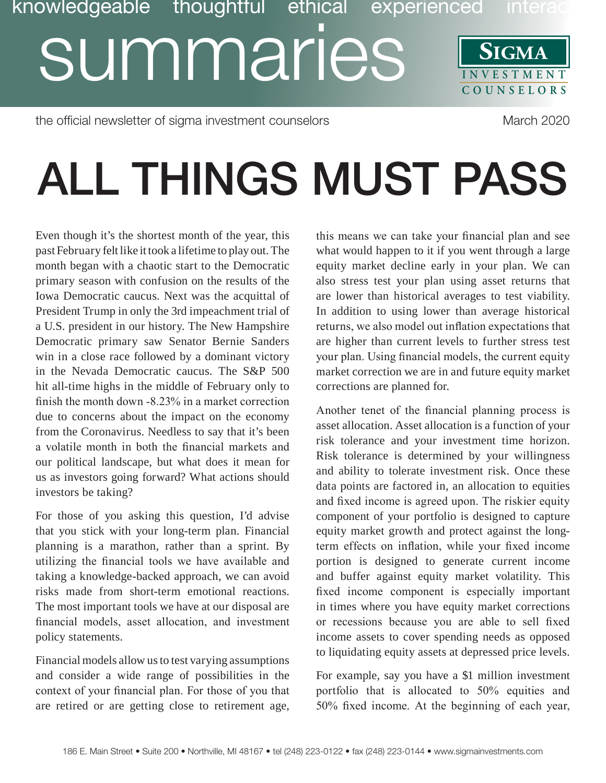## **SIGMA** SUMMaries **ISIGNA COUNSELORS** knowledgeable thoughtful ethical experienced intera

the official newsletter of sigma investment counselors Manch 2020

## **ALL THINGS MUST PASS**

Even though it's the shortest month of the year, this past February felt like it took a lifetime to play out. The month began with a chaotic start to the Democratic primary season with confusion on the results of the Iowa Democratic caucus. Next was the acquittal of President Trump in only the 3rd impeachment trial of a U.S. president in our history. The New Hampshire Democratic primary saw Senator Bernie Sanders win in a close race followed by a dominant victory in the Nevada Democratic caucus. The S&P 500 hit all-time highs in the middle of February only to finish the month down  $-8.23\%$  in a market correction due to concerns about the impact on the economy from the Coronavirus. Needless to say that it's been a volatile month in both the financial markets and our political landscape, but what does it mean for us as investors going forward? What actions should investors be taking?

For those of you asking this question, I'd advise that you stick with your long-term plan. Financial planning is a marathon, rather than a sprint. By utilizing the financial tools we have available and taking a knowledge-backed approach, we can avoid risks made from short-term emotional reactions. The most important tools we have at our disposal are financial models, asset allocation, and investment policy statements.

Financial models allow us to test varying assumptions and consider a wide range of possibilities in the context of your financial plan. For those of you that are retired or are getting close to retirement age,

this means we can take your financial plan and see what would happen to it if you went through a large equity market decline early in your plan. We can also stress test your plan using asset returns that are lower than historical averages to test viability. In addition to using lower than average historical returns, we also model out inflation expectations that are higher than current levels to further stress test your plan. Using financial models, the current equity market correction we are in and future equity market corrections are planned for.

Another tenet of the financial planning process is asset allocation. Asset allocation is a function of your risk tolerance and your investment time horizon. Risk tolerance is determined by your willingness and ability to tolerate investment risk. Once these data points are factored in, an allocation to equities and fixed income is agreed upon. The riskier equity component of your portfolio is designed to capture equity market growth and protect against the longterm effects on inflation, while your fixed income portion is designed to generate current income and buffer against equity market volatility. This fixed income component is especially important in times where you have equity market corrections or recessions because you are able to sell fixed income assets to cover spending needs as opposed to liquidating equity assets at depressed price levels.

For example, say you have a \$1 million investment portfolio that is allocated to  $50\%$  equities and  $50\%$  fixed income. At the beginning of each year,